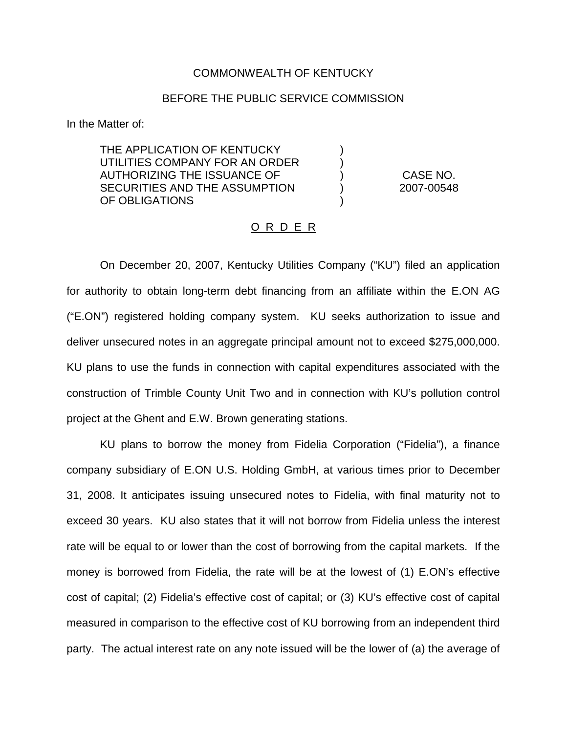## COMMONWEALTH OF KENTUCKY

## BEFORE THE PUBLIC SERVICE COMMISSION

) )

)

In the Matter of:

THE APPLICATION OF KENTUCKY UTILITIES COMPANY FOR AN ORDER AUTHORIZING THE ISSUANCE OF SECURITIES AND THE ASSUMPTION OF OBLIGATIONS

) CASE NO. ) 2007-00548

## <u>O R D E R</u>

On December 20, 2007, Kentucky Utilities Company ("KU") filed an application for authority to obtain long-term debt financing from an affiliate within the E.ON AG ("E.ON") registered holding company system. KU seeks authorization to issue and deliver unsecured notes in an aggregate principal amount not to exceed \$275,000,000. KU plans to use the funds in connection with capital expenditures associated with the construction of Trimble County Unit Two and in connection with KU's pollution control project at the Ghent and E.W. Brown generating stations.

KU plans to borrow the money from Fidelia Corporation ("Fidelia"), a finance company subsidiary of E.ON U.S. Holding GmbH, at various times prior to December 31, 2008. It anticipates issuing unsecured notes to Fidelia, with final maturity not to exceed 30 years. KU also states that it will not borrow from Fidelia unless the interest rate will be equal to or lower than the cost of borrowing from the capital markets. If the money is borrowed from Fidelia, the rate will be at the lowest of (1) E.ON's effective cost of capital; (2) Fidelia's effective cost of capital; or (3) KU's effective cost of capital measured in comparison to the effective cost of KU borrowing from an independent third party. The actual interest rate on any note issued will be the lower of (a) the average of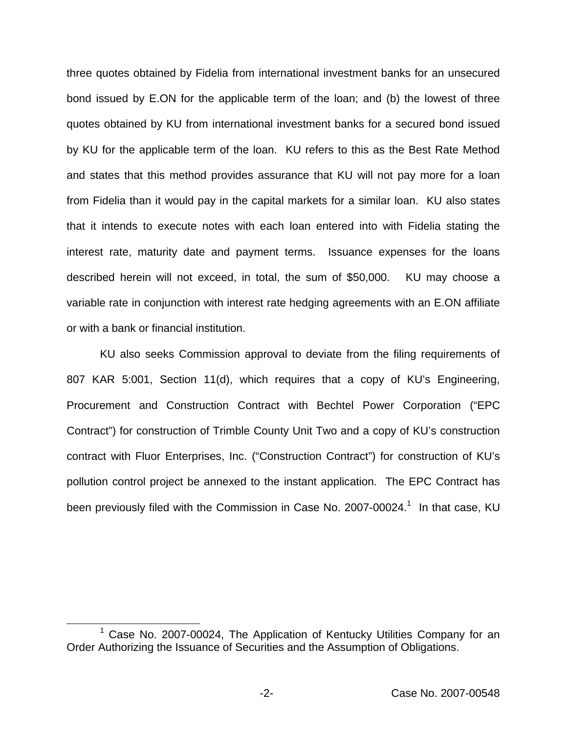three quotes obtained by Fidelia from international investment banks for an unsecured bond issued by E.ON for the applicable term of the loan; and (b) the lowest of three quotes obtained by KU from international investment banks for a secured bond issued by KU for the applicable term of the loan. KU refers to this as the Best Rate Method and states that this method provides assurance that KU will not pay more for a loan from Fidelia than it would pay in the capital markets for a similar loan. KU also states that it intends to execute notes with each loan entered into with Fidelia stating the interest rate, maturity date and payment terms. Issuance expenses for the loans described herein will not exceed, in total, the sum of \$50,000. KU may choose a variable rate in conjunction with interest rate hedging agreements with an E.ON affiliate or with a bank or financial institution.

KU also seeks Commission approval to deviate from the filing requirements of 807 KAR 5:001, Section 11(d), which requires that a copy of KU's Engineering, Procurement and Construction Contract with Bechtel Power Corporation ("EPC Contract") for construction of Trimble County Unit Two and a copy of KU's construction contract with Fluor Enterprises, Inc. ("Construction Contract") for construction of KU's pollution control project be annexed to the instant application. The EPC Contract has been previously filed with the Commission in Case No. 2007-00024.<sup>1</sup> In that case, KU

Case No. 2007-00024, The Application of Kentucky Utilities Company for an Order Authorizing the Issuance of Securities and the Assumption of Obligations.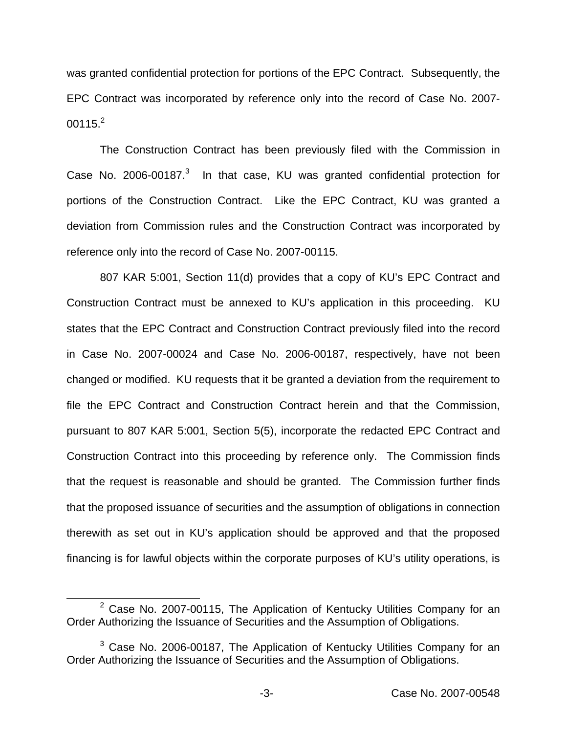was granted confidential protection for portions of the EPC Contract. Subsequently, the EPC Contract was incorporated by reference only into the record of Case No. 2007-  $00115.<sup>2</sup>$ 

The Construction Contract has been previously filed with the Commission in Case No. 2006-00187. $3$  In that case, KU was granted confidential protection for portions of the Construction Contract. Like the EPC Contract, KU was granted a deviation from Commission rules and the Construction Contract was incorporated by reference only into the record of Case No. 2007-00115.

807 KAR 5:001, Section 11(d) provides that a copy of KU's EPC Contract and Construction Contract must be annexed to KU's application in this proceeding. KU states that the EPC Contract and Construction Contract previously filed into the record in Case No. 2007-00024 and Case No. 2006-00187, respectively, have not been changed or modified. KU requests that it be granted a deviation from the requirement to file the EPC Contract and Construction Contract herein and that the Commission, pursuant to 807 KAR 5:001, Section 5(5), incorporate the redacted EPC Contract and Construction Contract into this proceeding by reference only. The Commission finds that the request is reasonable and should be granted. The Commission further finds that the proposed issuance of securities and the assumption of obligations in connection therewith as set out in KU's application should be approved and that the proposed financing is for lawful objects within the corporate purposes of KU's utility operations, is

 $2$  Case No. 2007-00115, The Application of Kentucky Utilities Company for an Order Authorizing the Issuance of Securities and the Assumption of Obligations.

 $3$  Case No. 2006-00187, The Application of Kentucky Utilities Company for an Order Authorizing the Issuance of Securities and the Assumption of Obligations.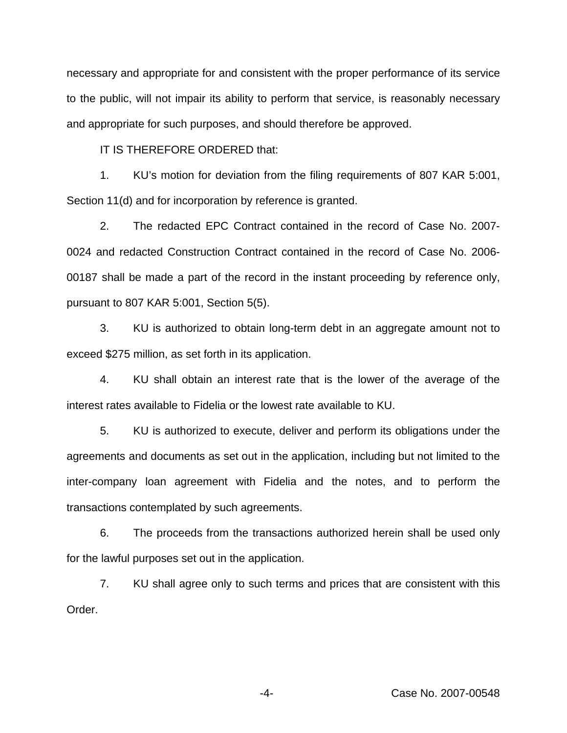necessary and appropriate for and consistent with the proper performance of its service to the public, will not impair its ability to perform that service, is reasonably necessary and appropriate for such purposes, and should therefore be approved.

IT IS THEREFORE ORDERED that:

1. KU's motion for deviation from the filing requirements of 807 KAR 5:001, Section 11(d) and for incorporation by reference is granted.

2. The redacted EPC Contract contained in the record of Case No. 2007- 0024 and redacted Construction Contract contained in the record of Case No. 2006- 00187 shall be made a part of the record in the instant proceeding by reference only, pursuant to 807 KAR 5:001, Section 5(5).

3. KU is authorized to obtain long-term debt in an aggregate amount not to exceed \$275 million, as set forth in its application.

4. KU shall obtain an interest rate that is the lower of the average of the interest rates available to Fidelia or the lowest rate available to KU.

5. KU is authorized to execute, deliver and perform its obligations under the agreements and documents as set out in the application, including but not limited to the inter-company loan agreement with Fidelia and the notes, and to perform the transactions contemplated by such agreements.

6. The proceeds from the transactions authorized herein shall be used only for the lawful purposes set out in the application.

7. KU shall agree only to such terms and prices that are consistent with this Order.